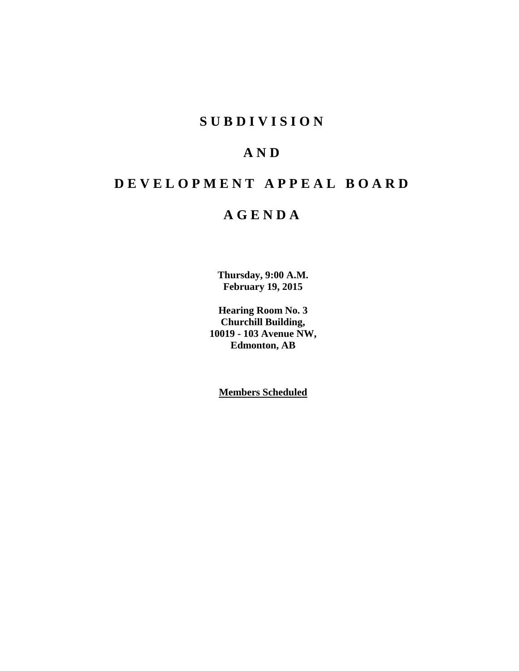# **S U B D I V I S I O N**

# **A N D**

# **D E V E L O P M E N T A P P E A L B O A R D**

# **A G E N D A**

**Thursday, 9:00 A.M. February 19, 2015**

**Hearing Room No. 3 Churchill Building, 10019 - 103 Avenue NW, Edmonton, AB**

**Members Scheduled**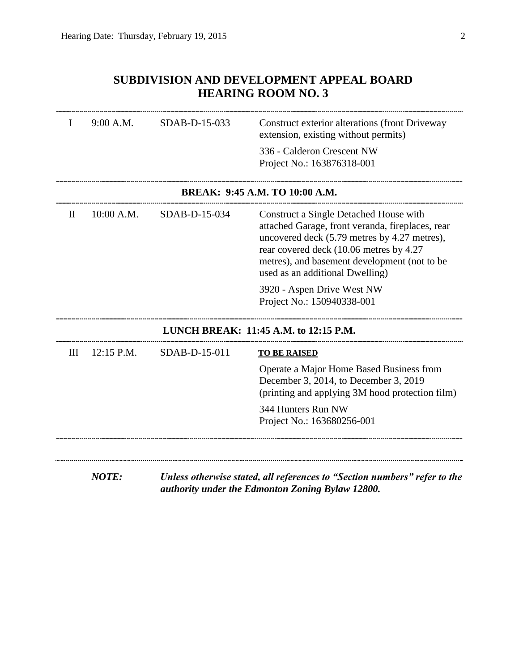## **SUBDIVISION AND DEVELOPMENT APPEAL BOARD HEARING ROOM NO. 3**

| 10:00 A.M. | $SDAB-D-15-034$ | 336 - Calderon Crescent NW<br>Project No.: 163876318-001<br>BREAK: 9:45 A.M. TO 10:00 A.M.<br>Construct a Single Detached House with<br>attached Garage, front veranda, fireplaces, rear<br>uncovered deck (5.79 metres by 4.27 metres),<br>rear covered deck (10.06 metres by 4.27<br>metres), and basement development (not to be<br>used as an additional Dwelling)<br>3920 - Aspen Drive West NW |
|------------|-----------------|------------------------------------------------------------------------------------------------------------------------------------------------------------------------------------------------------------------------------------------------------------------------------------------------------------------------------------------------------------------------------------------------------|
|            |                 |                                                                                                                                                                                                                                                                                                                                                                                                      |
|            |                 |                                                                                                                                                                                                                                                                                                                                                                                                      |
|            |                 |                                                                                                                                                                                                                                                                                                                                                                                                      |
|            |                 | Project No.: 150940338-001                                                                                                                                                                                                                                                                                                                                                                           |
|            |                 | LUNCH BREAK: 11:45 A.M. to 12:15 P.M.                                                                                                                                                                                                                                                                                                                                                                |
| 12:15 P.M. | SDAB-D-15-011   | <b>TO BE RAISED</b>                                                                                                                                                                                                                                                                                                                                                                                  |
|            |                 | Operate a Major Home Based Business from<br>December 3, 2014, to December 3, 2019<br>(printing and applying 3M hood protection film)                                                                                                                                                                                                                                                                 |
|            |                 | 344 Hunters Run NW<br>Project No.: 163680256-001                                                                                                                                                                                                                                                                                                                                                     |
|            |                 |                                                                                                                                                                                                                                                                                                                                                                                                      |

*NOTE: Unless otherwise stated, all references to "Section numbers" refer to the authority under the Edmonton Zoning Bylaw 12800.*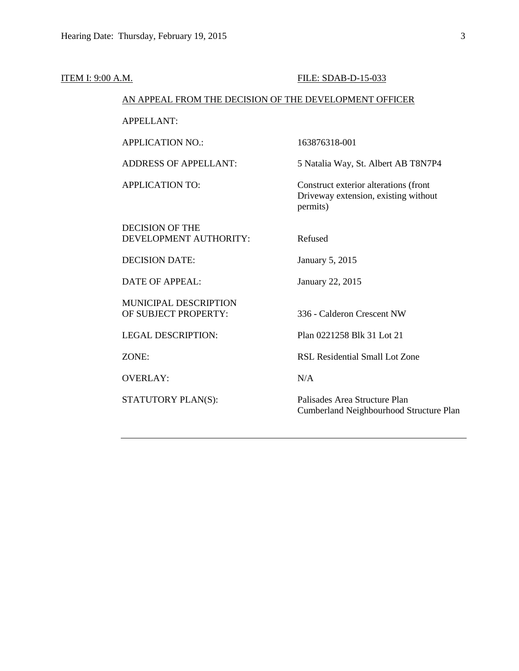| ITEM I: 9:00 A.M. |                                                        | FILE: SDAB-D-15-033                                                                       |
|-------------------|--------------------------------------------------------|-------------------------------------------------------------------------------------------|
|                   | AN APPEAL FROM THE DECISION OF THE DEVELOPMENT OFFICER |                                                                                           |
|                   | <b>APPELLANT:</b>                                      |                                                                                           |
|                   | <b>APPLICATION NO.:</b>                                | 163876318-001                                                                             |
|                   | <b>ADDRESS OF APPELLANT:</b>                           | 5 Natalia Way, St. Albert AB T8N7P4                                                       |
|                   | <b>APPLICATION TO:</b>                                 | Construct exterior alterations (front<br>Driveway extension, existing without<br>permits) |
|                   | <b>DECISION OF THE</b><br>DEVELOPMENT AUTHORITY:       | Refused                                                                                   |
|                   | <b>DECISION DATE:</b>                                  | January 5, 2015                                                                           |
|                   | <b>DATE OF APPEAL:</b>                                 | January 22, 2015                                                                          |
|                   | MUNICIPAL DESCRIPTION<br>OF SUBJECT PROPERTY:          | 336 - Calderon Crescent NW                                                                |
|                   | <b>LEGAL DESCRIPTION:</b>                              | Plan 0221258 Blk 31 Lot 21                                                                |
|                   | ZONE:                                                  | RSL Residential Small Lot Zone                                                            |
|                   | <b>OVERLAY:</b>                                        | N/A                                                                                       |
|                   | STATUTORY PLAN(S):                                     | Palisades Area Structure Plan<br>Cumberland Neighbourhood Structure Plan                  |
|                   |                                                        |                                                                                           |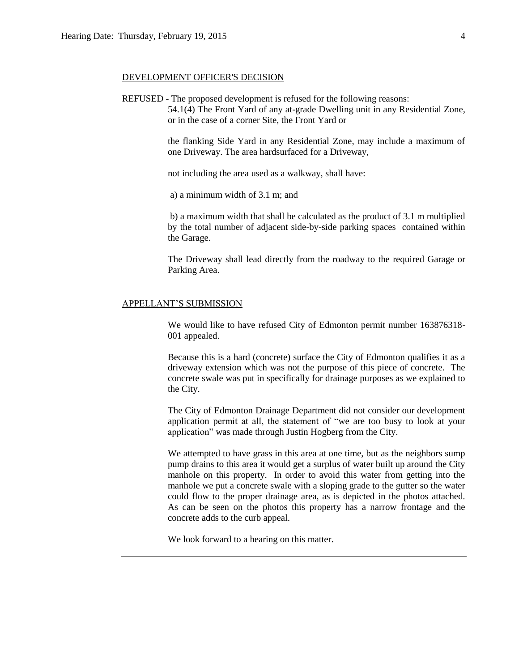### DEVELOPMENT OFFICER'S DECISION

REFUSED - The proposed development is refused for the following reasons:

54.1(4) The Front Yard of any at-grade Dwelling unit in any Residential Zone, or in the case of a corner Site, the Front Yard or

the flanking Side Yard in any Residential Zone, may include a maximum of one Driveway. The area hardsurfaced for a Driveway,

not including the area used as a walkway, shall have:

a) a minimum width of 3.1 m; and

b) a maximum width that shall be calculated as the product of 3.1 m multiplied by the total number of adjacent side-by-side parking spaces contained within the Garage.

The Driveway shall lead directly from the roadway to the required Garage or Parking Area.

### APPELLANT'S SUBMISSION

We would like to have refused City of Edmonton permit number 163876318- 001 appealed.

Because this is a hard (concrete) surface the City of Edmonton qualifies it as a driveway extension which was not the purpose of this piece of concrete. The concrete swale was put in specifically for drainage purposes as we explained to the City.

The City of Edmonton Drainage Department did not consider our development application permit at all, the statement of "we are too busy to look at your application" was made through Justin Hogberg from the City.

We attempted to have grass in this area at one time, but as the neighbors sump pump drains to this area it would get a surplus of water built up around the City manhole on this property. In order to avoid this water from getting into the manhole we put a concrete swale with a sloping grade to the gutter so the water could flow to the proper drainage area, as is depicted in the photos attached. As can be seen on the photos this property has a narrow frontage and the concrete adds to the curb appeal.

We look forward to a hearing on this matter.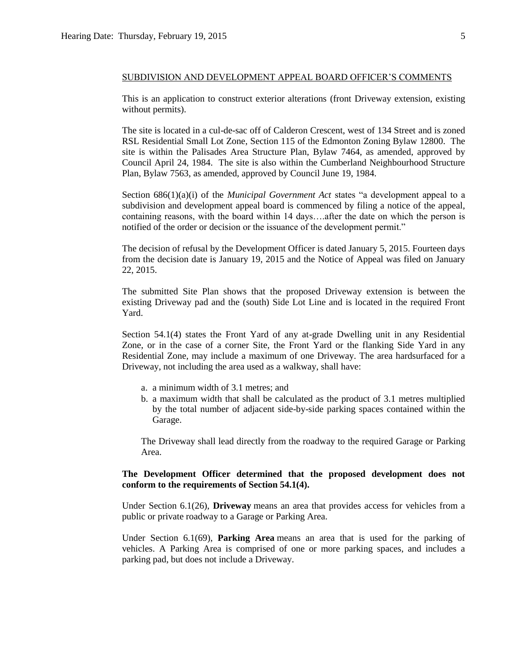This is an application to construct exterior alterations (front Driveway extension, existing without permits).

The site is located in a cul-de-sac off of Calderon Crescent, west of 134 Street and is zoned RSL Residential Small Lot Zone, Section 115 of the Edmonton Zoning Bylaw 12800. The site is within the Palisades Area Structure Plan, Bylaw 7464, as amended, approved by Council April 24, 1984. The site is also within the Cumberland Neighbourhood Structure Plan, Bylaw 7563, as amended, approved by Council June 19, 1984.

Section 686(1)(a)(i) of the *Municipal Government Act* states "a development appeal to a subdivision and development appeal board is commenced by filing a notice of the appeal, containing reasons, with the board within 14 days….after the date on which the person is notified of the order or decision or the issuance of the development permit."

The decision of refusal by the Development Officer is dated January 5, 2015. Fourteen days from the decision date is January 19, 2015 and the Notice of Appeal was filed on January 22, 2015.

The submitted Site Plan shows that the proposed Driveway extension is between the existing Driveway pad and the (south) Side Lot Line and is located in the required Front Yard.

Section 54.1(4) states the Front Yard of any at-grade Dwelling unit in any Residential Zone, or in the case of a corner Site, the Front Yard or the flanking Side Yard in any Residential Zone, may include a maximum of one Driveway. The area hardsurfaced for a Driveway, not including the area used as a walkway, shall have:

- a. a minimum width of 3.1 metres; and
- b. a maximum width that shall be calculated as the product of 3.1 metres multiplied by the total number of adjacent side-by-side parking spaces contained within the Garage.

The Driveway shall lead directly from the roadway to the required Garage or Parking Area.

### **The Development Officer determined that the proposed development does not conform to the requirements of Section 54.1(4).**

Under Section 6.1(26), **Driveway** means an area that provides access for vehicles from a public or private roadway to a Garage or Parking Area.

Under Section 6.1(69), **Parking Area** means an area that is used for the parking of vehicles. A Parking Area is comprised of one or more parking spaces, and includes a parking pad, but does not include a Driveway.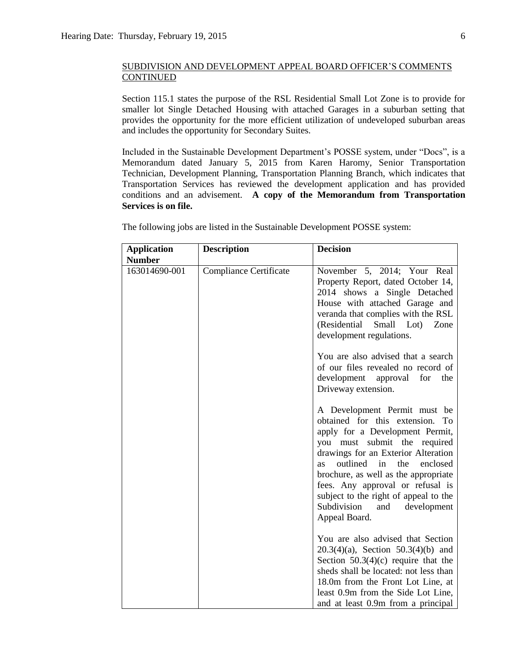Section 115.1 states the purpose of the RSL Residential Small Lot Zone is to provide for smaller lot Single Detached Housing with attached Garages in a suburban setting that provides the opportunity for the more efficient utilization of undeveloped suburban areas and includes the opportunity for Secondary Suites.

Included in the Sustainable Development Department's POSSE system, under "Docs", is a Memorandum dated January 5, 2015 from Karen Haromy, Senior Transportation Technician, Development Planning, Transportation Planning Branch, which indicates that Transportation Services has reviewed the development application and has provided conditions and an advisement. **A copy of the Memorandum from Transportation Services is on file.**

| <b>Application</b><br><b>Number</b> | <b>Description</b>            | <b>Decision</b>                                                                                                                                                                                                                                                                                                                                                                                        |
|-------------------------------------|-------------------------------|--------------------------------------------------------------------------------------------------------------------------------------------------------------------------------------------------------------------------------------------------------------------------------------------------------------------------------------------------------------------------------------------------------|
| 163014690-001                       | <b>Compliance Certificate</b> | November 5, 2014; Your Real<br>Property Report, dated October 14,<br>2014 shows a Single Detached<br>House with attached Garage and<br>veranda that complies with the RSL<br>(Residential<br>Small Lot)<br>Zone<br>development regulations.                                                                                                                                                            |
|                                     |                               | You are also advised that a search<br>of our files revealed no record of<br>development<br>approval<br>for<br>the<br>Driveway extension.                                                                                                                                                                                                                                                               |
|                                     |                               | A Development Permit must be<br>obtained for this extension. To<br>apply for a Development Permit,<br>you must submit the required<br>drawings for an Exterior Alteration<br>outlined<br>in<br>the<br>enclosed<br><b>as</b><br>brochure, as well as the appropriate<br>fees. Any approval or refusal is<br>subject to the right of appeal to the<br>Subdivision<br>development<br>and<br>Appeal Board. |
|                                     |                               | You are also advised that Section<br>$20.3(4)(a)$ , Section 50.3(4)(b) and<br>Section $50.3(4)(c)$ require that the<br>sheds shall be located: not less than<br>18.0m from the Front Lot Line, at<br>least 0.9m from the Side Lot Line,<br>and at least 0.9m from a principal                                                                                                                          |

The following jobs are listed in the Sustainable Development POSSE system: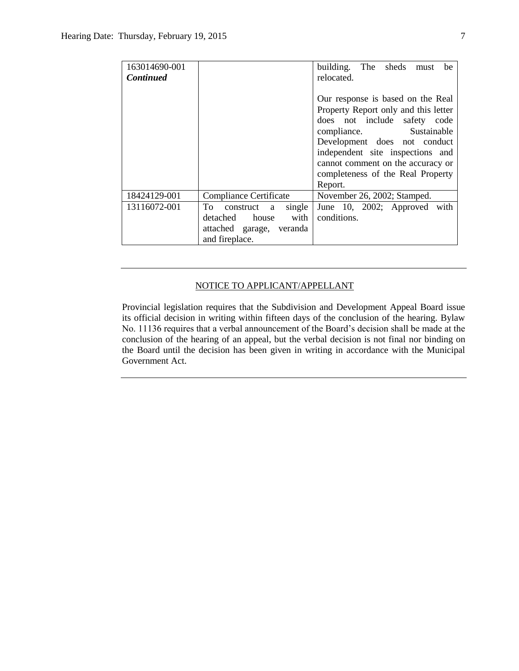| 163014690-001    |                           | building. The sheds must<br>be       |
|------------------|---------------------------|--------------------------------------|
| <b>Continued</b> |                           | relocated.                           |
|                  |                           |                                      |
|                  |                           | Our response is based on the Real    |
|                  |                           | Property Report only and this letter |
|                  |                           | does not include safety code         |
|                  |                           | compliance.<br>Sustainable           |
|                  |                           | Development does not conduct         |
|                  |                           | independent site inspections and     |
|                  |                           | cannot comment on the accuracy or    |
|                  |                           | completeness of the Real Property    |
|                  |                           | Report.                              |
| 18424129-001     | Compliance Certificate    | November 26, 2002; Stamped.          |
| 13116072-001     | To construct a<br>single  | June 10, 2002; Approved with         |
|                  | with<br>detached<br>house | conditions.                          |
|                  | attached garage, veranda  |                                      |
|                  | and fireplace.            |                                      |

### NOTICE TO APPLICANT/APPELLANT

Provincial legislation requires that the Subdivision and Development Appeal Board issue its official decision in writing within fifteen days of the conclusion of the hearing. Bylaw No. 11136 requires that a verbal announcement of the Board's decision shall be made at the conclusion of the hearing of an appeal, but the verbal decision is not final nor binding on the Board until the decision has been given in writing in accordance with the Municipal Government Act.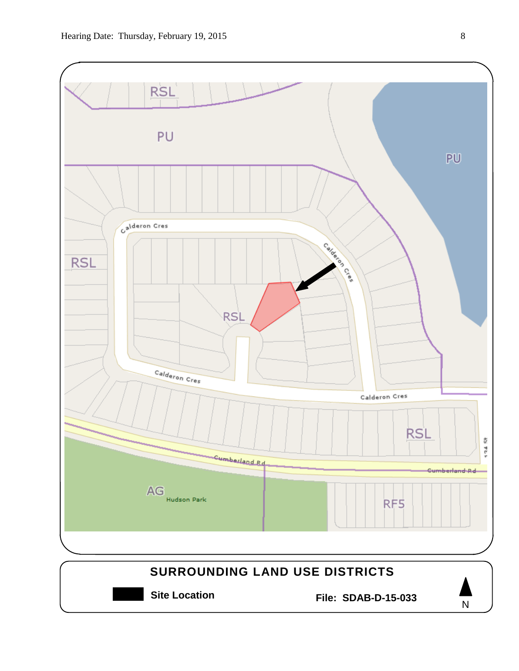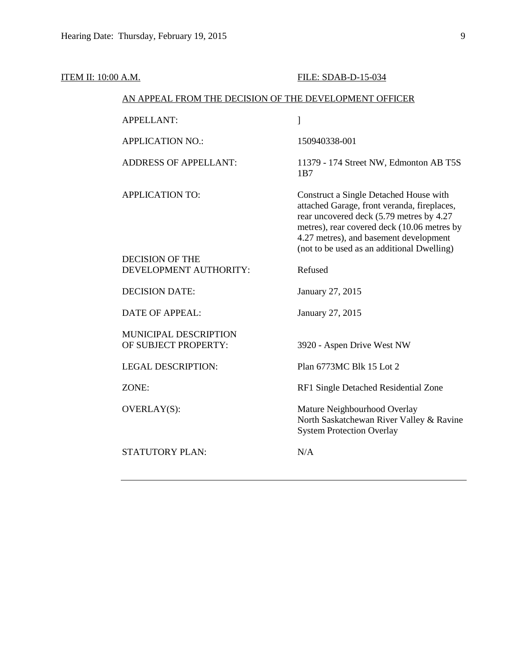| <b>ITEM II: 10:00 A.M.</b> |                                                        | FILE: SDAB-D-15-034                                                                                                                                                                                                                                                      |
|----------------------------|--------------------------------------------------------|--------------------------------------------------------------------------------------------------------------------------------------------------------------------------------------------------------------------------------------------------------------------------|
|                            | AN APPEAL FROM THE DECISION OF THE DEVELOPMENT OFFICER |                                                                                                                                                                                                                                                                          |
|                            | <b>APPELLANT:</b>                                      | 1                                                                                                                                                                                                                                                                        |
|                            | <b>APPLICATION NO.:</b>                                | 150940338-001                                                                                                                                                                                                                                                            |
|                            | <b>ADDRESS OF APPELLANT:</b>                           | 11379 - 174 Street NW, Edmonton AB T5S<br>1B7                                                                                                                                                                                                                            |
|                            | <b>APPLICATION TO:</b>                                 | Construct a Single Detached House with<br>attached Garage, front veranda, fireplaces,<br>rear uncovered deck (5.79 metres by 4.27<br>metres), rear covered deck (10.06 metres by<br>4.27 metres), and basement development<br>(not to be used as an additional Dwelling) |
|                            | <b>DECISION OF THE</b><br>DEVELOPMENT AUTHORITY:       | Refused                                                                                                                                                                                                                                                                  |
|                            |                                                        |                                                                                                                                                                                                                                                                          |
|                            | <b>DECISION DATE:</b>                                  | January 27, 2015                                                                                                                                                                                                                                                         |
|                            | <b>DATE OF APPEAL:</b>                                 | January 27, 2015                                                                                                                                                                                                                                                         |
|                            | MUNICIPAL DESCRIPTION<br>OF SUBJECT PROPERTY:          | 3920 - Aspen Drive West NW                                                                                                                                                                                                                                               |
|                            | <b>LEGAL DESCRIPTION:</b>                              | Plan 6773MC Blk 15 Lot 2                                                                                                                                                                                                                                                 |
|                            | ZONE:                                                  | RF1 Single Detached Residential Zone                                                                                                                                                                                                                                     |
|                            | OVERLAY(S):                                            | Mature Neighbourhood Overlay<br>North Saskatchewan River Valley & Ravine<br><b>System Protection Overlay</b>                                                                                                                                                             |
|                            | <b>STATUTORY PLAN:</b>                                 | N/A                                                                                                                                                                                                                                                                      |
|                            |                                                        |                                                                                                                                                                                                                                                                          |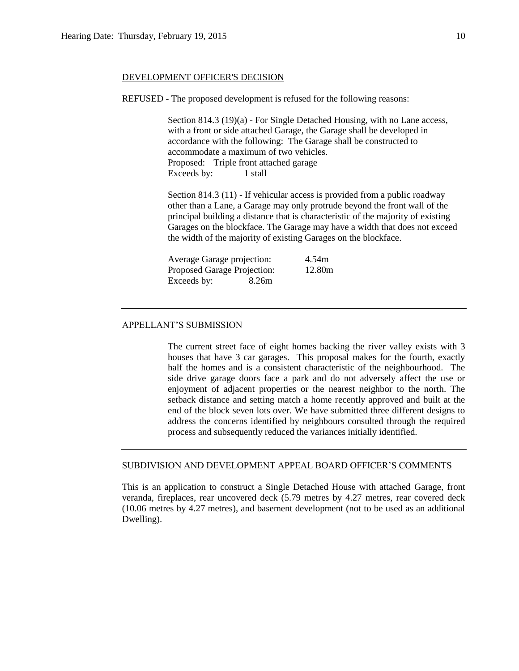### DEVELOPMENT OFFICER'S DECISION

REFUSED - The proposed development is refused for the following reasons:

Section 814.3 (19)(a) - For Single Detached Housing, with no Lane access, with a front or side attached Garage, the Garage shall be developed in accordance with the following: The Garage shall be constructed to accommodate a maximum of two vehicles. Proposed: Triple front attached garage Exceeds by: 1 stall

Section 814.3 (11) - If vehicular access is provided from a public roadway other than a Lane, a Garage may only protrude beyond the front wall of the principal building a distance that is characteristic of the majority of existing Garages on the blockface. The Garage may have a width that does not exceed the width of the majority of existing Garages on the blockface.

| Average Garage projection:  |       | 4.54m  |
|-----------------------------|-------|--------|
| Proposed Garage Projection: |       | 12.80m |
| Exceeds by:                 | 8.26m |        |

### APPELLANT'S SUBMISSION

The current street face of eight homes backing the river valley exists with 3 houses that have 3 car garages. This proposal makes for the fourth, exactly half the homes and is a consistent characteristic of the neighbourhood. The side drive garage doors face a park and do not adversely affect the use or enjoyment of adjacent properties or the nearest neighbor to the north. The setback distance and setting match a home recently approved and built at the end of the block seven lots over. We have submitted three different designs to address the concerns identified by neighbours consulted through the required process and subsequently reduced the variances initially identified.

### SUBDIVISION AND DEVELOPMENT APPEAL BOARD OFFICER'S COMMENTS

This is an application to construct a Single Detached House with attached Garage, front veranda, fireplaces, rear uncovered deck (5.79 metres by 4.27 metres, rear covered deck (10.06 metres by 4.27 metres), and basement development (not to be used as an additional Dwelling).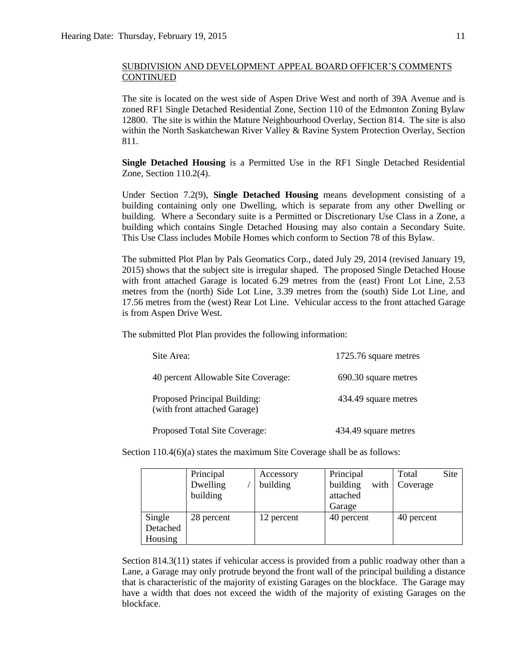The site is located on the west side of Aspen Drive West and north of 39A Avenue and is zoned RF1 Single Detached Residential Zone, Section 110 of the Edmonton Zoning Bylaw 12800. The site is within the Mature Neighbourhood Overlay, Section 814. The site is also within the North Saskatchewan River Valley & Ravine System Protection Overlay, Section 811.

**Single Detached Housing** is a Permitted Use in the RF1 Single Detached Residential Zone, Section 110.2(4).

Under Section 7.2(9), **Single Detached Housing** means development consisting of a building containing only one Dwelling, which is separate from any other Dwelling or building. Where a Secondary suite is a Permitted or Discretionary Use Class in a Zone, a building which contains Single Detached Housing may also contain a Secondary Suite. This Use Class includes Mobile Homes which conform to Section 78 of this Bylaw.

The submitted Plot Plan by Pals Geomatics Corp., dated July 29, 2014 (revised January 19, 2015) shows that the subject site is irregular shaped. The proposed Single Detached House with front attached Garage is located 6.29 metres from the (east) Front Lot Line, 2.53 metres from the (north) Side Lot Line, 3.39 metres from the (south) Side Lot Line, and 17.56 metres from the (west) Rear Lot Line. Vehicular access to the front attached Garage is from Aspen Drive West.

The submitted Plot Plan provides the following information:

| Site Area:                                                   | 1725.76 square metres |
|--------------------------------------------------------------|-----------------------|
| 40 percent Allowable Site Coverage:                          | 690.30 square metres  |
| Proposed Principal Building:<br>(with front attached Garage) | 434.49 square metres  |
| Proposed Total Site Coverage:                                | 434.49 square metres  |

Section 110.4(6)(a) states the maximum Site Coverage shall be as follows:

|          | Principal  | Accessory  | Principal        | Site<br>Total |
|----------|------------|------------|------------------|---------------|
|          | Dwelling   | building   | building<br>with | Coverage      |
|          | building   |            | attached         |               |
|          |            |            | Garage           |               |
| Single   | 28 percent | 12 percent | 40 percent       | 40 percent    |
| Detached |            |            |                  |               |
| Housing  |            |            |                  |               |

Section 814.3(11) states if vehicular access is provided from a public roadway other than a Lane, a Garage may only protrude beyond the front wall of the principal building a distance that is characteristic of the majority of existing Garages on the blockface. The Garage may have a width that does not exceed the width of the majority of existing Garages on the blockface.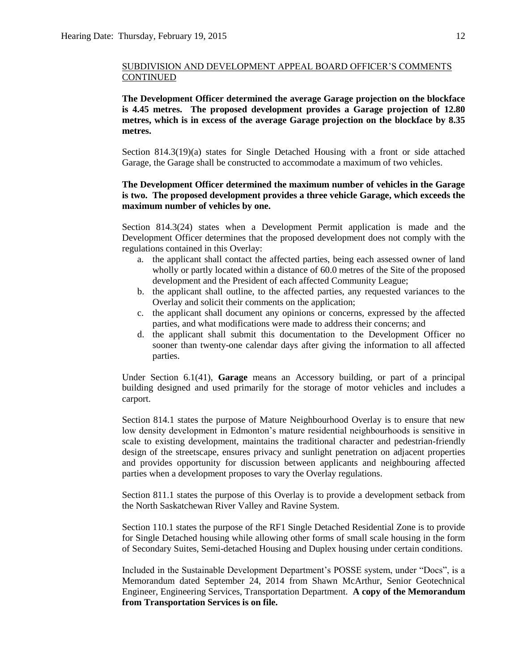**The Development Officer determined the average Garage projection on the blockface is 4.45 metres. The proposed development provides a Garage projection of 12.80 metres, which is in excess of the average Garage projection on the blockface by 8.35 metres.**

Section 814.3(19)(a) states for Single Detached Housing with a front or side attached Garage, the Garage shall be constructed to accommodate a maximum of two vehicles.

### **The Development Officer determined the maximum number of vehicles in the Garage is two. The proposed development provides a three vehicle Garage, which exceeds the maximum number of vehicles by one.**

Section 814.3(24) states when a Development Permit application is made and the Development Officer determines that the proposed development does not comply with the regulations contained in this Overlay:

- a. the applicant shall contact the affected parties, being each assessed owner of land wholly or partly located within a distance of 60.0 metres of the Site of the proposed development and the President of each affected Community League;
- b. the applicant shall outline, to the affected parties, any requested variances to the Overlay and solicit their comments on the application;
- c. the applicant shall document any opinions or concerns, expressed by the affected parties, and what modifications were made to address their concerns; and
- d. the applicant shall submit this documentation to the Development Officer no sooner than twenty-one calendar days after giving the information to all affected parties.

Under Section 6.1(41), **Garage** means an Accessory building, or part of a principal building designed and used primarily for the storage of motor vehicles and includes a carport.

Section 814.1 states the purpose of Mature Neighbourhood Overlay is to ensure that new low density development in Edmonton's mature residential neighbourhoods is sensitive in scale to existing development, maintains the traditional character and pedestrian-friendly design of the streetscape, ensures privacy and sunlight penetration on adjacent properties and provides opportunity for discussion between applicants and neighbouring affected parties when a development proposes to vary the Overlay regulations.

Section 811.1 states the purpose of this Overlay is to provide a development setback from the North Saskatchewan River Valley and Ravine System.

Section 110.1 states the purpose of the RF1 Single Detached Residential Zone is to provide for Single Detached housing while allowing other forms of small scale housing in the form of Secondary Suites, Semi-detached Housing and Duplex housing under certain conditions.

Included in the Sustainable Development Department's POSSE system, under "Docs", is a Memorandum dated September 24, 2014 from Shawn McArthur, Senior Geotechnical Engineer, Engineering Services, Transportation Department. **A copy of the Memorandum from Transportation Services is on file.**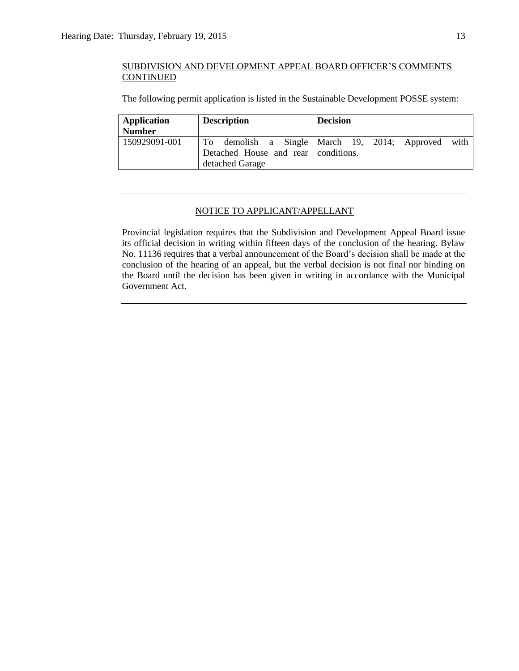The following permit application is listed in the Sustainable Development POSSE system:

| Application   | <b>Description</b>                  | <b>Decision</b>                                    |
|---------------|-------------------------------------|----------------------------------------------------|
| <b>Number</b> |                                     |                                                    |
| 150929091-001 | Detached House and rear conditions. | To demolish a Single March 19, 2014; Approved with |
|               | detached Garage                     |                                                    |

### NOTICE TO APPLICANT/APPELLANT

Provincial legislation requires that the Subdivision and Development Appeal Board issue its official decision in writing within fifteen days of the conclusion of the hearing. Bylaw No. 11136 requires that a verbal announcement of the Board's decision shall be made at the conclusion of the hearing of an appeal, but the verbal decision is not final nor binding on the Board until the decision has been given in writing in accordance with the Municipal Government Act.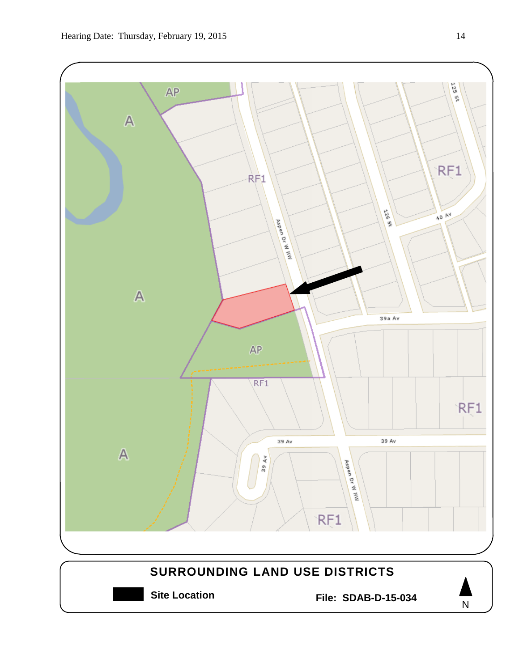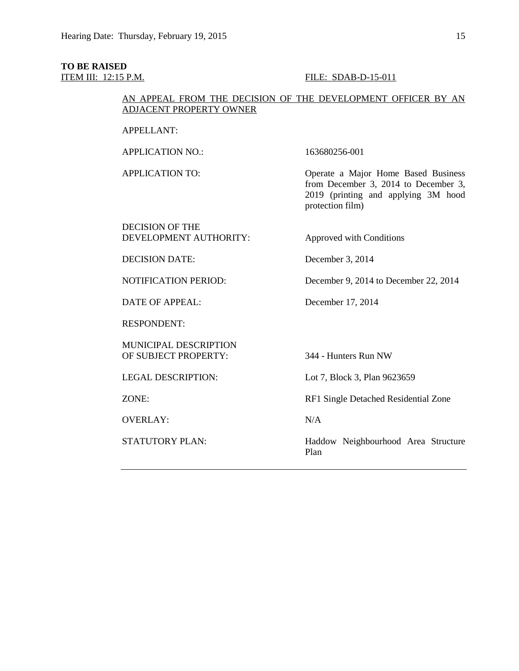# **TO BE RAISED**

### ITEM III: 12:15 P.M. FILE: SDAB-D-15-011

### AN APPEAL FROM THE DECISION OF THE DEVELOPMENT OFFICER BY AN ADJACENT PROPERTY OWNER

### APPELLANT:

APPLICATION NO.: 163680256-001

APPLICATION TO: Operate a Major Home Based Business from December 3, 2014 to December 3, 2019 (printing and applying 3M hood protection film)

### DECISION OF THE DEVELOPMENT AUTHORITY: Approved with Conditions

DECISION DATE: December 3, 2014

NOTIFICATION PERIOD: December 9, 2014 to December 22, 2014

DATE OF APPEAL: December 17, 2014

RESPONDENT:

MUNICIPAL DESCRIPTION OF SUBJECT PROPERTY: 344 - Hunters Run NW

OVERLAY: N/A

LEGAL DESCRIPTION: Lot 7, Block 3, Plan 9623659

ZONE: RF1 Single Detached Residential Zone

STATUTORY PLAN: Haddow Neighbourhood Area Structure Plan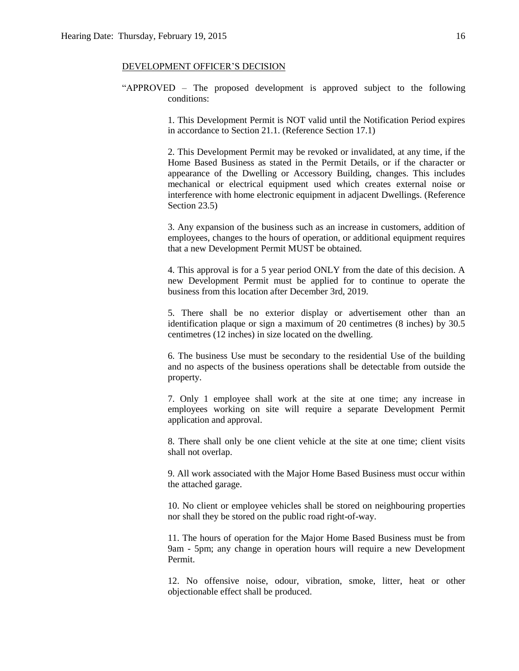### DEVELOPMENT OFFICER'S DECISION

"APPROVED – The proposed development is approved subject to the following conditions:

> 1. This Development Permit is NOT valid until the Notification Period expires in accordance to Section 21.1. (Reference Section 17.1)

> 2. This Development Permit may be revoked or invalidated, at any time, if the Home Based Business as stated in the Permit Details, or if the character or appearance of the Dwelling or Accessory Building, changes. This includes mechanical or electrical equipment used which creates external noise or interference with home electronic equipment in adjacent Dwellings. (Reference Section 23.5)

> 3. Any expansion of the business such as an increase in customers, addition of employees, changes to the hours of operation, or additional equipment requires that a new Development Permit MUST be obtained.

> 4. This approval is for a 5 year period ONLY from the date of this decision. A new Development Permit must be applied for to continue to operate the business from this location after December 3rd, 2019.

> 5. There shall be no exterior display or advertisement other than an identification plaque or sign a maximum of 20 centimetres (8 inches) by 30.5 centimetres (12 inches) in size located on the dwelling.

> 6. The business Use must be secondary to the residential Use of the building and no aspects of the business operations shall be detectable from outside the property.

> 7. Only 1 employee shall work at the site at one time; any increase in employees working on site will require a separate Development Permit application and approval.

> 8. There shall only be one client vehicle at the site at one time; client visits shall not overlap.

> 9. All work associated with the Major Home Based Business must occur within the attached garage.

> 10. No client or employee vehicles shall be stored on neighbouring properties nor shall they be stored on the public road right-of-way.

> 11. The hours of operation for the Major Home Based Business must be from 9am - 5pm; any change in operation hours will require a new Development Permit.

> 12. No offensive noise, odour, vibration, smoke, litter, heat or other objectionable effect shall be produced.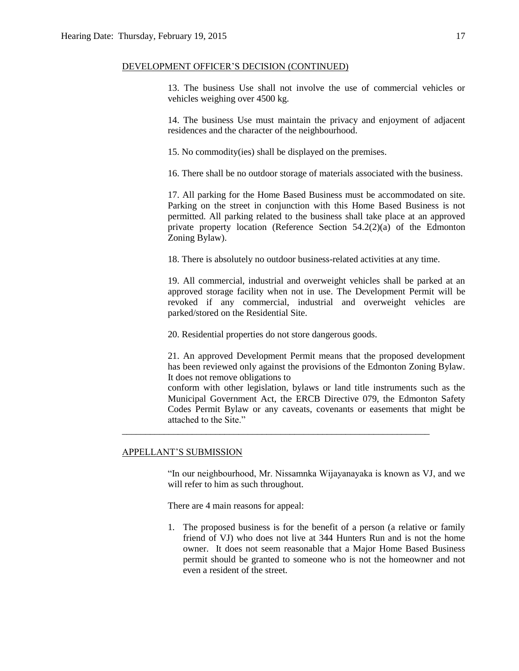### DEVELOPMENT OFFICER'S DECISION (CONTINUED)

13. The business Use shall not involve the use of commercial vehicles or vehicles weighing over 4500 kg.

14. The business Use must maintain the privacy and enjoyment of adjacent residences and the character of the neighbourhood.

15. No commodity(ies) shall be displayed on the premises.

16. There shall be no outdoor storage of materials associated with the business.

17. All parking for the Home Based Business must be accommodated on site. Parking on the street in conjunction with this Home Based Business is not permitted. All parking related to the business shall take place at an approved private property location (Reference Section 54.2(2)(a) of the Edmonton Zoning Bylaw).

18. There is absolutely no outdoor business-related activities at any time.

19. All commercial, industrial and overweight vehicles shall be parked at an approved storage facility when not in use. The Development Permit will be revoked if any commercial, industrial and overweight vehicles are parked/stored on the Residential Site.

20. Residential properties do not store dangerous goods.

\_\_\_\_\_\_\_\_\_\_\_\_\_\_\_\_\_\_\_\_\_\_\_\_\_\_\_\_\_\_\_\_\_\_\_\_\_\_\_\_\_\_\_\_\_\_\_\_\_\_\_\_\_\_\_\_\_\_\_\_\_\_\_\_\_\_

21. An approved Development Permit means that the proposed development has been reviewed only against the provisions of the Edmonton Zoning Bylaw. It does not remove obligations to

conform with other legislation, bylaws or land title instruments such as the Municipal Government Act, the ERCB Directive 079, the Edmonton Safety Codes Permit Bylaw or any caveats, covenants or easements that might be attached to the Site."

### APPELLANT'S SUBMISSION

"In our neighbourhood, Mr. Nissamnka Wijayanayaka is known as VJ, and we will refer to him as such throughout.

There are 4 main reasons for appeal:

1. The proposed business is for the benefit of a person (a relative or family friend of VJ) who does not live at 344 Hunters Run and is not the home owner. It does not seem reasonable that a Major Home Based Business permit should be granted to someone who is not the homeowner and not even a resident of the street.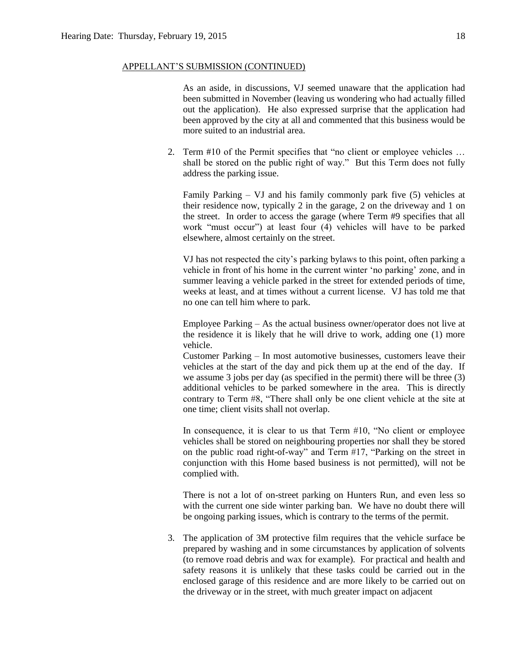### APPELLANT'S SUBMISSION (CONTINUED)

As an aside, in discussions, VJ seemed unaware that the application had been submitted in November (leaving us wondering who had actually filled out the application). He also expressed surprise that the application had been approved by the city at all and commented that this business would be more suited to an industrial area.

2. Term #10 of the Permit specifies that "no client or employee vehicles … shall be stored on the public right of way." But this Term does not fully address the parking issue.

Family Parking – VJ and his family commonly park five (5) vehicles at their residence now, typically 2 in the garage, 2 on the driveway and 1 on the street. In order to access the garage (where Term #9 specifies that all work "must occur") at least four (4) vehicles will have to be parked elsewhere, almost certainly on the street.

VJ has not respected the city's parking bylaws to this point, often parking a vehicle in front of his home in the current winter 'no parking' zone, and in summer leaving a vehicle parked in the street for extended periods of time, weeks at least, and at times without a current license. VJ has told me that no one can tell him where to park.

Employee Parking – As the actual business owner/operator does not live at the residence it is likely that he will drive to work, adding one (1) more vehicle.

Customer Parking – In most automotive businesses, customers leave their vehicles at the start of the day and pick them up at the end of the day. If we assume 3 jobs per day (as specified in the permit) there will be three (3) additional vehicles to be parked somewhere in the area. This is directly contrary to Term #8, "There shall only be one client vehicle at the site at one time; client visits shall not overlap.

In consequence, it is clear to us that Term #10, "No client or employee vehicles shall be stored on neighbouring properties nor shall they be stored on the public road right-of-way" and Term #17, "Parking on the street in conjunction with this Home based business is not permitted), will not be complied with.

There is not a lot of on-street parking on Hunters Run, and even less so with the current one side winter parking ban. We have no doubt there will be ongoing parking issues, which is contrary to the terms of the permit.

3. The application of 3M protective film requires that the vehicle surface be prepared by washing and in some circumstances by application of solvents (to remove road debris and wax for example). For practical and health and safety reasons it is unlikely that these tasks could be carried out in the enclosed garage of this residence and are more likely to be carried out on the driveway or in the street, with much greater impact on adjacent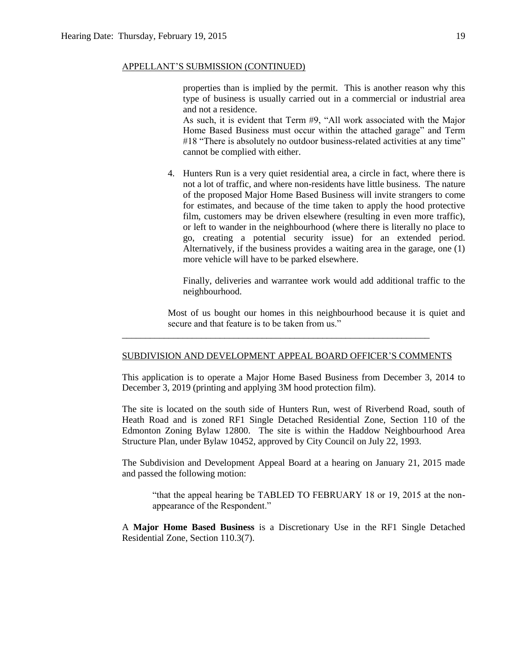### APPELLANT'S SUBMISSION (CONTINUED)

properties than is implied by the permit. This is another reason why this type of business is usually carried out in a commercial or industrial area and not a residence.

As such, it is evident that Term #9, "All work associated with the Major Home Based Business must occur within the attached garage" and Term #18 "There is absolutely no outdoor business-related activities at any time" cannot be complied with either.

4. Hunters Run is a very quiet residential area, a circle in fact, where there is not a lot of traffic, and where non-residents have little business. The nature of the proposed Major Home Based Business will invite strangers to come for estimates, and because of the time taken to apply the hood protective film, customers may be driven elsewhere (resulting in even more traffic), or left to wander in the neighbourhood (where there is literally no place to go, creating a potential security issue) for an extended period. Alternatively, if the business provides a waiting area in the garage, one (1) more vehicle will have to be parked elsewhere.

Finally, deliveries and warrantee work would add additional traffic to the neighbourhood.

Most of us bought our homes in this neighbourhood because it is quiet and secure and that feature is to be taken from us."

### SUBDIVISION AND DEVELOPMENT APPEAL BOARD OFFICER'S COMMENTS

\_\_\_\_\_\_\_\_\_\_\_\_\_\_\_\_\_\_\_\_\_\_\_\_\_\_\_\_\_\_\_\_\_\_\_\_\_\_\_\_\_\_\_\_\_\_\_\_\_\_\_\_\_\_\_\_\_\_\_\_\_\_\_\_\_\_

This application is to operate a Major Home Based Business from December 3, 2014 to December 3, 2019 (printing and applying 3M hood protection film).

The site is located on the south side of Hunters Run, west of Riverbend Road, south of Heath Road and is zoned RF1 Single Detached Residential Zone, Section 110 of the Edmonton Zoning Bylaw 12800. The site is within the Haddow Neighbourhood Area Structure Plan, under Bylaw 10452, approved by City Council on July 22, 1993.

The Subdivision and Development Appeal Board at a hearing on January 21, 2015 made and passed the following motion:

"that the appeal hearing be TABLED TO FEBRUARY 18 or 19, 2015 at the nonappearance of the Respondent."

A **Major Home Based Business** is a Discretionary Use in the RF1 Single Detached Residential Zone, Section 110.3(7).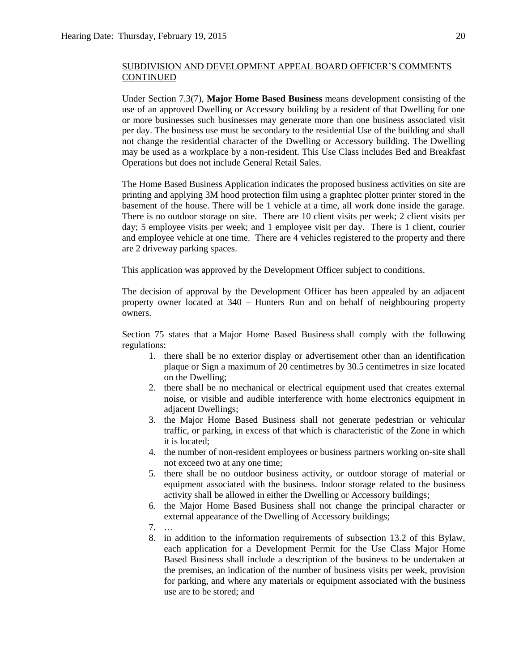Under Section 7.3(7), **Major Home Based Business** means development consisting of the use of an approved Dwelling or Accessory building by a resident of that Dwelling for one or more businesses such businesses may generate more than one business associated visit per day. The business use must be secondary to the residential Use of the building and shall not change the residential character of the Dwelling or Accessory building. The Dwelling may be used as a workplace by a non-resident. This Use Class includes Bed and Breakfast Operations but does not include General Retail Sales.

The Home Based Business Application indicates the proposed business activities on site are printing and applying 3M hood protection film using a graphtec plotter printer stored in the basement of the house. There will be 1 vehicle at a time, all work done inside the garage. There is no outdoor storage on site. There are 10 client visits per week; 2 client visits per day; 5 employee visits per week; and 1 employee visit per day. There is 1 client, courier and employee vehicle at one time. There are 4 vehicles registered to the property and there are 2 driveway parking spaces.

This application was approved by the Development Officer subject to conditions.

The decision of approval by the Development Officer has been appealed by an adjacent property owner located at 340 – Hunters Run and on behalf of neighbouring property owners.

Section 75 states that a [Major Home Based Business](javascript:void(0);) shall comply with the following regulations:

- 1. there shall be no exterior display or advertisement other than an identification plaque or Sign a maximum of 20 centimetres by 30.5 centimetres in size located on the Dwelling;
- 2. there shall be no mechanical or electrical equipment used that creates external noise, or visible and audible interference with home electronics equipment in adjacent Dwellings;
- 3. the Major Home Based Business shall not generate pedestrian or vehicular traffic, or parking, in excess of that which is characteristic of the Zone in which it is located;
- 4. the number of non-resident employees or business partners working on-site shall not exceed two at any one time;
- 5. there shall be no outdoor business activity, or outdoor storage of material or equipment associated with the business. Indoor storage related to the business activity shall be allowed in either the Dwelling or Accessory buildings;
- 6. the Major Home Based Business shall not change the principal character or external appearance of the Dwelling of Accessory buildings;
- 7. …
- 8. in addition to the information requirements of subsection 13.2 of this Bylaw, each application for a Development Permit for the Use Class Major Home Based Business shall include a description of the business to be undertaken at the premises, an indication of the number of business visits per week, provision for parking, and where any materials or equipment associated with the business use are to be stored; and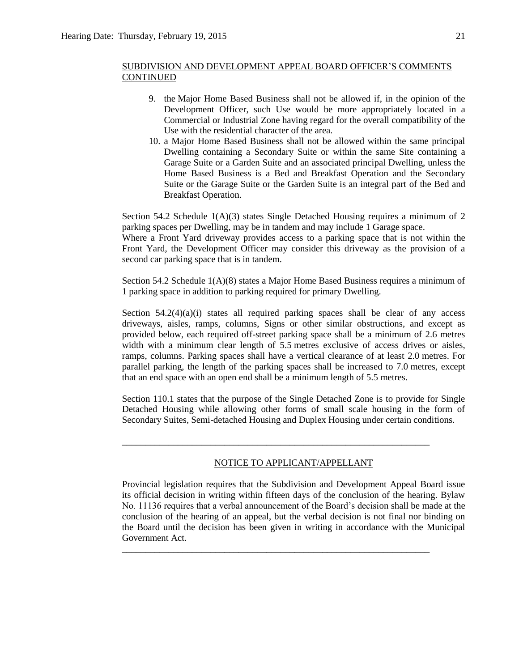- 9. the Major Home Based Business shall not be allowed if, in the opinion of the Development Officer, such Use would be more appropriately located in a Commercial or Industrial Zone having regard for the overall compatibility of the Use with the residential character of the area.
- 10. a Major Home Based Business shall not be allowed within the same principal Dwelling containing a Secondary Suite or within the same Site containing a Garage Suite or a Garden Suite and an associated principal Dwelling, unless the Home Based Business is a Bed and Breakfast Operation and the Secondary Suite or the Garage Suite or the Garden Suite is an integral part of the Bed and Breakfast Operation.

Section 54.2 Schedule  $1(A)(3)$  states Single Detached Housing requires a minimum of 2 parking spaces per Dwelling, may be in tandem and may include 1 Garage space.

Where a Front Yard driveway provides access to a parking space that is not within the Front Yard, the Development Officer may consider this driveway as the provision of a second car parking space that is in tandem.

Section 54.2 Schedule  $1(A)(8)$  states a Major Home Based Business requires a minimum of 1 parking space in addition to parking required for primary Dwelling.

Section  $54.2(4)(a)(i)$  states all required parking spaces shall be clear of any access driveways, aisles, ramps, columns, Signs or other similar obstructions, and except as provided below, each required off-street parking space shall be a minimum of 2.6 metres width with a minimum clear length of 5.5 metres exclusive of access drives or aisles, ramps, columns. Parking spaces shall have a vertical clearance of at least 2.0 metres. For parallel parking, the length of the parking spaces shall be increased to 7.0 metres, except that an end space with an open end shall be a minimum length of 5.5 metres.

Section 110.1 states that the purpose of the Single Detached Zone is to provide for Single Detached Housing while allowing other forms of small scale housing in the form of Secondary Suites, Semi-detached Housing and Duplex Housing under certain conditions.

### NOTICE TO APPLICANT/APPELLANT

\_\_\_\_\_\_\_\_\_\_\_\_\_\_\_\_\_\_\_\_\_\_\_\_\_\_\_\_\_\_\_\_\_\_\_\_\_\_\_\_\_\_\_\_\_\_\_\_\_\_\_\_\_\_\_\_\_\_\_\_\_\_\_\_\_\_

\_\_\_\_\_\_\_\_\_\_\_\_\_\_\_\_\_\_\_\_\_\_\_\_\_\_\_\_\_\_\_\_\_\_\_\_\_\_\_\_\_\_\_\_\_\_\_\_\_\_\_\_\_\_\_\_\_\_\_\_\_\_\_\_\_\_

Provincial legislation requires that the Subdivision and Development Appeal Board issue its official decision in writing within fifteen days of the conclusion of the hearing. Bylaw No. 11136 requires that a verbal announcement of the Board's decision shall be made at the conclusion of the hearing of an appeal, but the verbal decision is not final nor binding on the Board until the decision has been given in writing in accordance with the Municipal Government Act.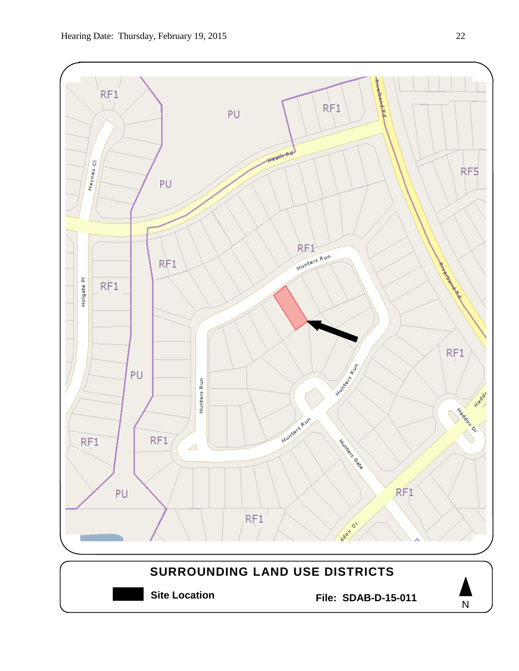